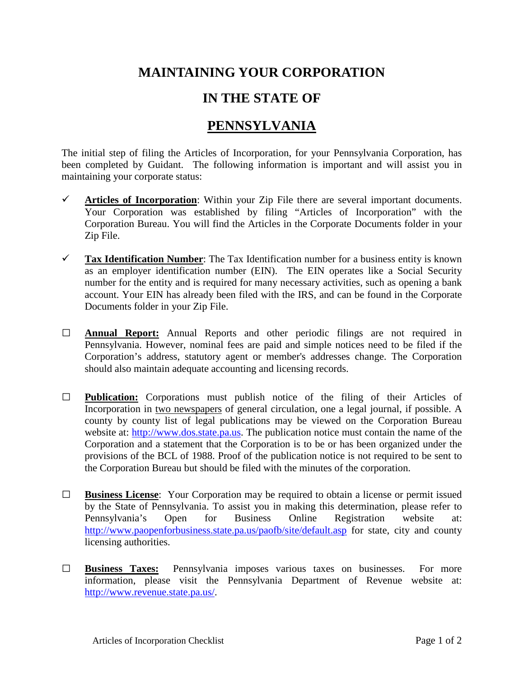## **MAINTAINING YOUR CORPORATION**

## **IN THE STATE OF**

## **PENNSYLVANIA**

The initial step of filing the Articles of Incorporation, for your Pennsylvania Corporation, has been completed by Guidant. The following information is important and will assist you in maintaining your corporate status:

- $\checkmark$  Articles of Incorporation: Within your Zip File there are several important documents. Your Corporation was established by filing "Articles of Incorporation" with the Corporation Bureau. You will find the Articles in the Corporate Documents folder in your Zip File.
- **Tax Identification Number**: The Tax Identification number for a business entity is known as an employer identification number (EIN). The EIN operates like a Social Security number for the entity and is required for many necessary activities, such as opening a bank account. Your EIN has already been filed with the IRS, and can be found in the Corporate Documents folder in your Zip File.
- **□ Annual Report:** Annual Reports and other periodic filings are not required in Pennsylvania. However, nominal fees are paid and simple notices need to be filed if the Corporation's address, statutory agent or member's addresses change. The Corporation should also maintain adequate accounting and licensing records.
- **□ Publication:** Corporations must publish notice of the filing of their Articles of Incorporation in two newspapers of general circulation, one a legal journal, if possible. A county by county list of legal publications may be viewed on the Corporation Bureau website at: [http://www.dos.state.pa.us.](http://www.dos.state.pa.us/) The publication notice must contain the name of the Corporation and a statement that the Corporation is to be or has been organized under the provisions of the BCL of 1988. Proof of the publication notice is not required to be sent to the Corporation Bureau but should be filed with the minutes of the corporation.
- **□ Business License**: Your Corporation may be required to obtain a license or permit issued by the State of Pennsylvania. To assist you in making this determination, please refer to Pennsylvania's Open for Business Online Registration website at: <http://www.paopenforbusiness.state.pa.us/paofb/site/default.asp> for state, city and county licensing authorities.
- **□ Business Taxes:** Pennsylvania imposes various taxes on businesses. For more information, please visit the Pennsylvania Department of Revenue website at: [http://www.revenue.state.pa.us/.](http://www.revenue.state.pa.us/)